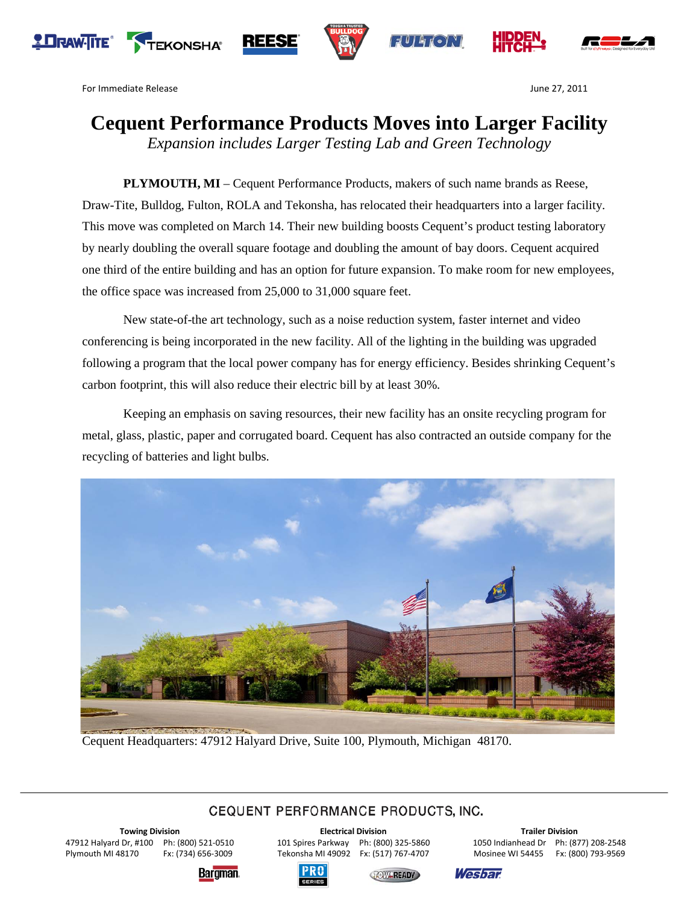







For Immediate Release June 27, 2011

# **Cequent Performance Products Moves into Larger Facility**

*Expansion includes Larger Testing Lab and Green Technology*

**PLYMOUTH, MI** – Cequent Performance Products, makers of such name brands as Reese, Draw-Tite, Bulldog, Fulton, ROLA and Tekonsha, has relocated their headquarters into a larger facility. This move was completed on March 14. Their new building boosts Cequent's product testing laboratory by nearly doubling the overall square footage and doubling the amount of bay doors. Cequent acquired one third of the entire building and has an option for future expansion. To make room for new employees, the office space was increased from 25,000 to 31,000 square feet.

New state-of-the art technology, such as a noise reduction system, faster internet and video conferencing is being incorporated in the new facility. All of the lighting in the building was upgraded following a program that the local power company has for energy efficiency. Besides shrinking Cequent's carbon footprint, this will also reduce their electric bill by at least 30%.

Keeping an emphasis on saving resources, their new facility has an onsite recycling program for metal, glass, plastic, paper and corrugated board. Cequent has also contracted an outside company for the recycling of batteries and light bulbs.



Cequent Headquarters: 47912 Halyard Drive, Suite 100, Plymouth, Michigan 48170.

## CEQUENT PERFORMANCE PRODUCTS, INC.

**Electrical Division**

101 Spires Parkway Ph: (800) 325-5860 Tekonsha MI 49092 Fx: (517) 767-4707

### **Trailer Division** 1050 Indianhead Dr Ph: (877) 208-2548 Mosinee WI 54455 Fx: (800) 793-9569

Bargman.

**Towing Division** 47912 Halyard Dr, #100 Ph: (800) 521-0510 Plymouth MI 48170 Fx: (734) 656-3009